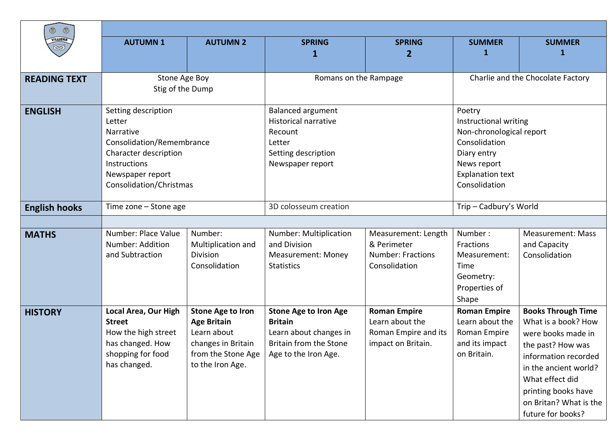|                      | ۱<br>$\circledcirc$           |                          |                                                  |                          |                                 |                                   |
|----------------------|-------------------------------|--------------------------|--------------------------------------------------|--------------------------|---------------------------------|-----------------------------------|
| <b>VILLIERS</b>      | <b>AUTUMN1</b>                | <b>AUTUMN 2</b>          | <b>SPRING</b>                                    | <b>SPRING</b>            | <b>SUMMER</b>                   | <b>SUMMER</b>                     |
| $\otimes$            |                               |                          |                                                  | 2                        | 1                               | 1                                 |
|                      |                               |                          |                                                  |                          |                                 |                                   |
| <b>READING TEXT</b>  | Stone Age Boy                 |                          | Romans on the Rampage                            |                          |                                 | Charlie and the Chocolate Factory |
|                      | Stig of the Dump              |                          |                                                  |                          |                                 |                                   |
|                      |                               |                          |                                                  |                          |                                 |                                   |
| <b>ENGLISH</b>       | Setting description<br>Letter |                          | <b>Balanced argument</b><br>Historical narrative |                          | Poetry<br>Instructional writing |                                   |
|                      | <b>Narrative</b>              |                          | Recount                                          |                          | Non-chronological report        |                                   |
|                      | Consolidation/Remembrance     |                          | Letter                                           |                          | Consolidation                   |                                   |
|                      | Character description         |                          | Setting description                              |                          | Diary entry                     |                                   |
|                      | Instructions                  |                          | Newspaper report                                 |                          | News report                     |                                   |
|                      | Newspaper report              |                          |                                                  |                          | <b>Explanation text</b>         |                                   |
|                      | Consolidation/Christmas       |                          |                                                  |                          | Consolidation                   |                                   |
| <b>English hooks</b> | Time zone - Stone age         |                          | 3D colosseum creation                            |                          | Trip - Cadbury's World          |                                   |
|                      |                               |                          |                                                  |                          |                                 |                                   |
| <b>MATHS</b>         | Number: Place Value           | Number:                  | Number: Multiplication                           | Measurement: Length      | Number:                         | <b>Measurement: Mass</b>          |
|                      | Number: Addition              | Multiplication and       | and Division                                     | & Perimeter              | Fractions                       | and Capacity                      |
|                      | and Subtraction               | Division                 | <b>Measurement: Money</b>                        | <b>Number: Fractions</b> | Measurement:                    | Consolidation                     |
|                      |                               | Consolidation            | <b>Statistics</b>                                | Consolidation            | Time                            |                                   |
|                      |                               |                          |                                                  |                          | Geometry:                       |                                   |
|                      |                               |                          |                                                  |                          | Properties of<br>Shape          |                                   |
| <b>HISTORY</b>       | Local Area, Our High          | <b>Stone Age to Iron</b> | <b>Stone Age to Iron Age</b>                     | <b>Roman Empire</b>      | <b>Roman Empire</b>             | <b>Books Through Time</b>         |
|                      | <b>Street</b>                 | <b>Age Britain</b>       | <b>Britain</b>                                   | Learn about the          | Learn about the                 | What is a book? How               |
|                      | How the high street           | Learn about              | Learn about changes in                           | Roman Empire and its     | Roman Empire                    | were books made in                |
|                      | has changed. How              | changes in Britain       | Britain from the Stone                           | impact on Britain.       | and its impact                  | the past? How was                 |
|                      | shopping for food             | from the Stone Age       | Age to the Iron Age.                             |                          | on Britain.                     | information recorded              |
|                      | has changed.                  | to the Iron Age.         |                                                  |                          |                                 | in the ancient world?             |
|                      |                               |                          |                                                  |                          |                                 | What effect did                   |
|                      |                               |                          |                                                  |                          |                                 | printing books have               |
|                      |                               |                          |                                                  |                          |                                 | on Britan? What is the            |
|                      |                               |                          |                                                  |                          |                                 | future for books?                 |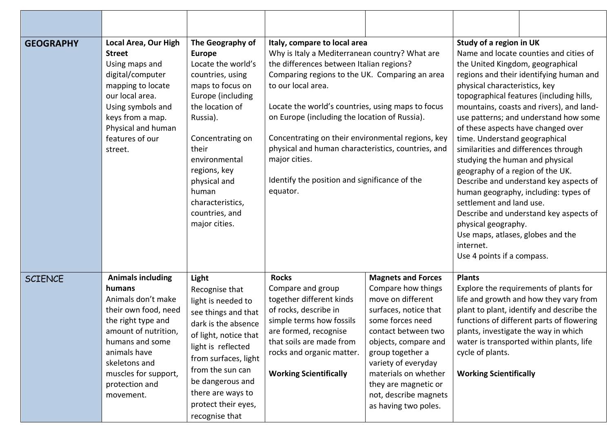| <b>GEOGRAPHY</b> | Local Area, Our High<br><b>Street</b><br>Using maps and<br>digital/computer<br>mapping to locate<br>our local area.<br>Using symbols and<br>keys from a map.<br>Physical and human<br>features of our<br>street.                          | The Geography of<br><b>Europe</b><br>Locate the world's<br>countries, using<br>maps to focus on<br>Europe (including<br>the location of<br>Russia).<br>Concentrating on<br>their<br>environmental<br>regions, key<br>physical and<br>human<br>characteristics,<br>countries, and<br>major cities. | Italy, compare to local area<br>Why is Italy a Mediterranean country? What are<br>the differences between Italian regions?<br>Comparing regions to the UK. Comparing an area<br>to our local area.<br>Locate the world's countries, using maps to focus<br>on Europe (including the location of Russia).<br>Concentrating on their environmental regions, key<br>physical and human characteristics, countries, and<br>major cities.<br>Identify the position and significance of the<br>equator. |                                                                                                                                                                                                                                                                                                              | Study of a region in UK<br>the United Kingdom, geographical<br>physical characteristics, key<br>time. Understand geographical<br>studying the human and physical<br>geography of a region of the UK.<br>settlement and land use.<br>physical geography.<br>Use maps, atlases, globes and the<br>internet.<br>Use 4 points if a compass. | Name and locate counties and cities of<br>regions and their identifying human and<br>topographical features (including hills,<br>mountains, coasts and rivers), and land-<br>use patterns; and understand how some<br>of these aspects have changed over<br>similarities and differences through<br>Describe and understand key aspects of<br>human geography, including: types of<br>Describe and understand key aspects of |
|------------------|-------------------------------------------------------------------------------------------------------------------------------------------------------------------------------------------------------------------------------------------|---------------------------------------------------------------------------------------------------------------------------------------------------------------------------------------------------------------------------------------------------------------------------------------------------|---------------------------------------------------------------------------------------------------------------------------------------------------------------------------------------------------------------------------------------------------------------------------------------------------------------------------------------------------------------------------------------------------------------------------------------------------------------------------------------------------|--------------------------------------------------------------------------------------------------------------------------------------------------------------------------------------------------------------------------------------------------------------------------------------------------------------|-----------------------------------------------------------------------------------------------------------------------------------------------------------------------------------------------------------------------------------------------------------------------------------------------------------------------------------------|------------------------------------------------------------------------------------------------------------------------------------------------------------------------------------------------------------------------------------------------------------------------------------------------------------------------------------------------------------------------------------------------------------------------------|
| <b>SCIENCE</b>   | <b>Animals including</b><br>humans<br>Animals don't make<br>their own food, need<br>the right type and<br>amount of nutrition,<br>humans and some<br>animals have<br>skeletons and<br>muscles for support,<br>protection and<br>movement. | Light<br>Recognise that<br>light is needed to<br>see things and that<br>dark is the absence<br>of light, notice that<br>light is reflected<br>from surfaces, light<br>from the sun can<br>be dangerous and<br>there are ways to<br>protect their eyes,<br>recognise that                          | <b>Rocks</b><br>Compare and group<br>together different kinds<br>of rocks, describe in<br>simple terms how fossils<br>are formed, recognise<br>that soils are made from<br>rocks and organic matter.<br><b>Working Scientifically</b>                                                                                                                                                                                                                                                             | <b>Magnets and Forces</b><br>Compare how things<br>move on different<br>surfaces, notice that<br>some forces need<br>contact between two<br>objects, compare and<br>group together a<br>variety of everyday<br>materials on whether<br>they are magnetic or<br>not, describe magnets<br>as having two poles. | <b>Plants</b><br>cycle of plants.<br><b>Working Scientifically</b>                                                                                                                                                                                                                                                                      | Explore the requirements of plants for<br>life and growth and how they vary from<br>plant to plant, identify and describe the<br>functions of different parts of flowering<br>plants, investigate the way in which<br>water is transported within plants, life                                                                                                                                                               |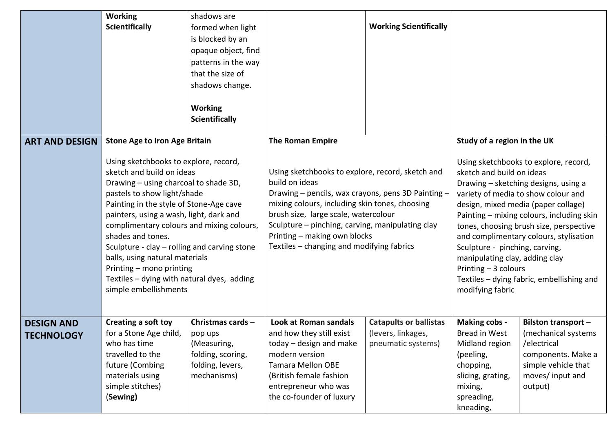|                                        | <b>Working</b><br><b>Scientifically</b>                                                                                                                                                                                                                                                                                                                                                                                                                                                 | shadows are<br>formed when light<br>is blocked by an<br>opaque object, find<br>patterns in the way<br>that the size of<br>shadows change.<br><b>Working</b><br><b>Scientifically</b> |                                                                                                                                                                                                                                                                                                                                                     | <b>Working Scientifically</b>                                             |                                                                                                                                                                                                                                                                                                                                                                                                                                                                                         |                                                                                                                                               |
|----------------------------------------|-----------------------------------------------------------------------------------------------------------------------------------------------------------------------------------------------------------------------------------------------------------------------------------------------------------------------------------------------------------------------------------------------------------------------------------------------------------------------------------------|--------------------------------------------------------------------------------------------------------------------------------------------------------------------------------------|-----------------------------------------------------------------------------------------------------------------------------------------------------------------------------------------------------------------------------------------------------------------------------------------------------------------------------------------------------|---------------------------------------------------------------------------|-----------------------------------------------------------------------------------------------------------------------------------------------------------------------------------------------------------------------------------------------------------------------------------------------------------------------------------------------------------------------------------------------------------------------------------------------------------------------------------------|-----------------------------------------------------------------------------------------------------------------------------------------------|
| <b>ART AND DESIGN</b>                  | <b>Stone Age to Iron Age Britain</b>                                                                                                                                                                                                                                                                                                                                                                                                                                                    |                                                                                                                                                                                      | <b>The Roman Empire</b>                                                                                                                                                                                                                                                                                                                             |                                                                           | Study of a region in the UK                                                                                                                                                                                                                                                                                                                                                                                                                                                             |                                                                                                                                               |
|                                        | Using sketchbooks to explore, record,<br>sketch and build on ideas<br>Drawing - using charcoal to shade 3D,<br>pastels to show light/shade<br>Painting in the style of Stone-Age cave<br>painters, using a wash, light, dark and<br>complimentary colours and mixing colours,<br>shades and tones.<br>Sculpture - clay - rolling and carving stone<br>balls, using natural materials<br>Printing - mono printing<br>Textiles - dying with natural dyes, adding<br>simple embellishments |                                                                                                                                                                                      | Using sketchbooks to explore, record, sketch and<br>build on ideas<br>Drawing - pencils, wax crayons, pens 3D Painting -<br>mixing colours, including skin tones, choosing<br>brush size, large scale, watercolour<br>Sculpture – pinching, carving, manipulating clay<br>Printing - making own blocks<br>Textiles – changing and modifying fabrics |                                                                           | Using sketchbooks to explore, record,<br>sketch and build on ideas<br>Drawing - sketching designs, using a<br>variety of media to show colour and<br>design, mixed media (paper collage)<br>Painting - mixing colours, including skin<br>tones, choosing brush size, perspective<br>and complimentary colours, stylisation<br>Sculpture - pinching, carving,<br>manipulating clay, adding clay<br>Printing - 3 colours<br>Textiles - dying fabric, embellishing and<br>modifying fabric |                                                                                                                                               |
| <b>DESIGN AND</b><br><b>TECHNOLOGY</b> | Creating a soft toy<br>for a Stone Age child,<br>who has time<br>travelled to the<br>future (Combing<br>materials using<br>simple stitches)<br>(Sewing)                                                                                                                                                                                                                                                                                                                                 | Christmas cards -<br>pop ups<br>(Measuring,<br>folding, scoring,<br>folding, levers,<br>mechanisms)                                                                                  | Look at Roman sandals<br>and how they still exist<br>$today$ – design and make<br>modern version<br><b>Tamara Mellon OBE</b><br>(British female fashion<br>entrepreneur who was<br>the co-founder of luxury                                                                                                                                         | <b>Catapults or ballistas</b><br>(levers, linkages,<br>pneumatic systems) | <b>Making cobs -</b><br><b>Bread in West</b><br>Midland region<br>(peeling,<br>chopping,<br>slicing, grating,<br>mixing,<br>spreading,<br>kneading,                                                                                                                                                                                                                                                                                                                                     | <b>Bilston transport -</b><br>(mechanical systems)<br>/electrical<br>components. Make a<br>simple vehicle that<br>moves/ input and<br>output) |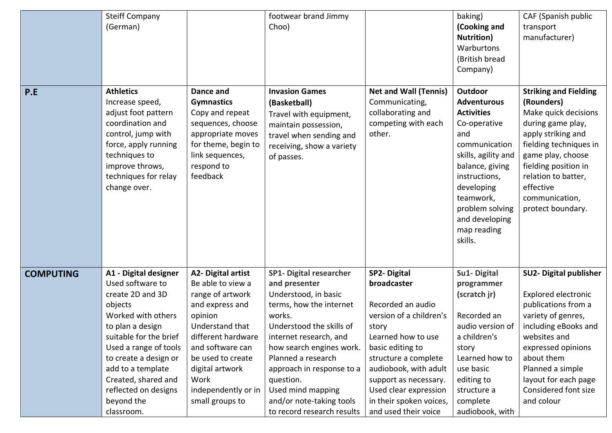| P.E              | <b>Steiff Company</b><br>(German)<br><b>Athletics</b><br>Increase speed,<br>adjust foot pattern<br>coordination and<br>control, jump with<br>force, apply running<br>techniques to<br>improve throws,<br>techniques for relay<br>change over.                                                  | Dance and<br><b>Gymnastics</b><br>Copy and repeat<br>sequences, choose<br>appropriate moves<br>for theme, begin to<br>link sequences,<br>respond to<br>feedback                                                                                         | footwear brand Jimmy<br>Choo)<br><b>Invasion Games</b><br>(Basketball)<br>Travel with equipment,<br>maintain possession,<br>travel when sending and<br>receiving, show a variety<br>of passes.                                                                                                                                                | <b>Net and Wall (Tennis)</b><br>Communicating,<br>collaborating and<br>competing with each<br>other.                                                                                                                                                                                       | baking)<br>(Cooking and<br><b>Nutrition</b> )<br>Warburtons<br>(British bread<br>Company)<br>Outdoor<br><b>Adventurous</b><br><b>Activities</b><br>Co-operative<br>and<br>communication<br>skills, agility and<br>balance, giving<br>instructions,<br>developing<br>teamwork,<br>problem solving<br>and developing<br>map reading<br>skills. | CAF (Spanish public<br>transport<br>manufacturer)<br><b>Striking and Fielding</b><br>(Rounders)<br>Make quick decisions<br>during game play,<br>apply striking and<br>fielding techniques in<br>game play, choose<br>fielding position in<br>relation to batter,<br>effective<br>communication,<br>protect boundary. |
|------------------|------------------------------------------------------------------------------------------------------------------------------------------------------------------------------------------------------------------------------------------------------------------------------------------------|---------------------------------------------------------------------------------------------------------------------------------------------------------------------------------------------------------------------------------------------------------|-----------------------------------------------------------------------------------------------------------------------------------------------------------------------------------------------------------------------------------------------------------------------------------------------------------------------------------------------|--------------------------------------------------------------------------------------------------------------------------------------------------------------------------------------------------------------------------------------------------------------------------------------------|----------------------------------------------------------------------------------------------------------------------------------------------------------------------------------------------------------------------------------------------------------------------------------------------------------------------------------------------|----------------------------------------------------------------------------------------------------------------------------------------------------------------------------------------------------------------------------------------------------------------------------------------------------------------------|
| <b>COMPUTING</b> | A1 - Digital designer<br>Used software to<br>create 2D and 3D<br>objects<br>Worked with others<br>to plan a design<br>suitable for the brief<br>Used a range of tools<br>to create a design or<br>add to a template<br>Created, shared and<br>reflected on designs<br>beyond the<br>classroom. | <b>A2- Digital artist</b><br>Be able to view a<br>range of artwork<br>and express and<br>opinion<br>Understand that<br>different hardware<br>and software can<br>be used to create<br>digital artwork<br>Work<br>independently or in<br>small groups to | <b>SP1- Digital researcher</b><br>and presenter<br>Understood, in basic<br>terms, how the internet<br>works.<br>Understood the skills of<br>internet research, and<br>how search engines work.<br>Planned a research<br>approach in response to a<br>question.<br>Used mind mapping<br>and/or note-taking tools<br>to record research results | <b>SP2-Digital</b><br>broadcaster<br>Recorded an audio<br>version of a children's<br>story<br>Learned how to use<br>basic editing to<br>structure a complete<br>audiobook, with adult<br>support as necessary.<br>Used clear expression<br>in their spoken voices,<br>and used their voice | Su1-Digital<br>programmer<br>(scratch jr)<br>Recorded an<br>audio version of<br>a children's<br>story<br>Learned how to<br>use basic<br>editing to<br>structure a<br>complete<br>audiobook, with                                                                                                                                             | <b>SU2- Digital publisher</b><br><b>Explored electronic</b><br>publications from a<br>variety of genres,<br>including eBooks and<br>websites and<br>expressed opinions<br>about them<br>Planned a simple<br>layout for each page<br>Considered font size<br>and colour                                               |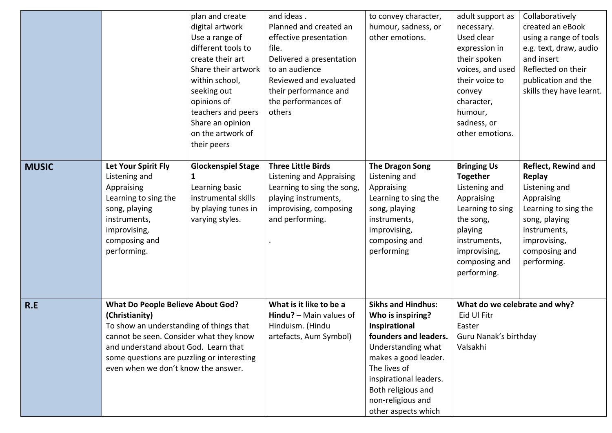|              |                                                                                                                                                                                                                                                                               | plan and create<br>digital artwork<br>Use a range of<br>different tools to                                                                                            | and ideas.<br>Planned and created an<br>effective presentation<br>file.                                                                                  | to convey character,<br>humour, sadness, or<br>other emotions.                                                                                                                                                                                     | adult support as<br>necessary.<br>Used clear<br>expression in                                                                                                                    | Collaboratively<br>created an eBook<br>using a range of tools<br>e.g. text, draw, audio                                                                                             |
|--------------|-------------------------------------------------------------------------------------------------------------------------------------------------------------------------------------------------------------------------------------------------------------------------------|-----------------------------------------------------------------------------------------------------------------------------------------------------------------------|----------------------------------------------------------------------------------------------------------------------------------------------------------|----------------------------------------------------------------------------------------------------------------------------------------------------------------------------------------------------------------------------------------------------|----------------------------------------------------------------------------------------------------------------------------------------------------------------------------------|-------------------------------------------------------------------------------------------------------------------------------------------------------------------------------------|
|              |                                                                                                                                                                                                                                                                               | create their art<br>Share their artwork<br>within school,<br>seeking out<br>opinions of<br>teachers and peers<br>Share an opinion<br>on the artwork of<br>their peers | Delivered a presentation<br>to an audience<br>Reviewed and evaluated<br>their performance and<br>the performances of<br>others                           |                                                                                                                                                                                                                                                    | their spoken<br>voices, and used<br>their voice to<br>convey<br>character,<br>humour,<br>sadness, or<br>other emotions.                                                          | and insert<br>Reflected on their<br>publication and the<br>skills they have learnt.                                                                                                 |
| <b>MUSIC</b> | Let Your Spirit Fly<br>Listening and<br>Appraising<br>Learning to sing the<br>song, playing<br>instruments,<br>improvising,<br>composing and<br>performing.                                                                                                                   | <b>Glockenspiel Stage</b><br>1<br>Learning basic<br>instrumental skills<br>by playing tunes in<br>varying styles.                                                     | <b>Three Little Birds</b><br>Listening and Appraising<br>Learning to sing the song,<br>playing instruments,<br>improvising, composing<br>and performing. | <b>The Dragon Song</b><br>Listening and<br>Appraising<br>Learning to sing the<br>song, playing<br>instruments,<br>improvising,<br>composing and<br>performing                                                                                      | <b>Bringing Us</b><br><b>Together</b><br>Listening and<br>Appraising<br>Learning to sing<br>the song,<br>playing<br>instruments,<br>improvising,<br>composing and<br>performing. | <b>Reflect, Rewind and</b><br><b>Replay</b><br>Listening and<br>Appraising<br>Learning to sing the<br>song, playing<br>instruments,<br>improvising,<br>composing and<br>performing. |
| R.E          | <b>What Do People Believe About God?</b><br>(Christianity)<br>To show an understanding of things that<br>cannot be seen. Consider what they know<br>and understand about God. Learn that<br>some questions are puzzling or interesting<br>even when we don't know the answer. |                                                                                                                                                                       | What is it like to be a<br>Hindu? $-$ Main values of<br>Hinduism. (Hindu<br>artefacts, Aum Symbol)                                                       | <b>Sikhs and Hindhus:</b><br>Who is inspiring?<br>Inspirational<br>founders and leaders.<br>Understanding what<br>makes a good leader.<br>The lives of<br>inspirational leaders.<br>Both religious and<br>non-religious and<br>other aspects which | What do we celebrate and why?<br>Eid Ul Fitr<br>Easter<br>Guru Nanak's birthday<br>Valsakhi                                                                                      |                                                                                                                                                                                     |